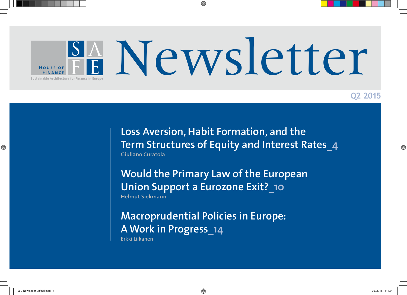

**Q2 2015**

**Loss Aversion, Habit Formation, and the Term Structures of Equity and Interest Rates\_4 Giuliano Curatola**

**Would the Primary Law of the European Union Support a Eurozone Exit?\_10 Helmut Siekmann**

**Macroprudential Policies in Europe: A Work in Progress\_14 Erkki Liikanen**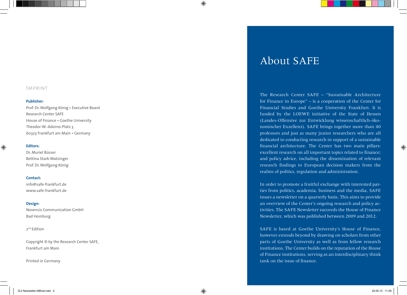### Imprint

#### **Publisher:**

Prof. Dr. Wolfgang König • Executive Board Research Center SAFE House of Finance • Goethe University Theodor-W.-Adorno-Platz 3 60323 Frankfurt am Main • Germany

#### **Editors:**

Dr. Muriel Büsser Bettina Stark-Watzinger Prof. Dr. Wolfgang König

#### **Contact:**

info@safe-frankfurt.de www.safe-frankfurt.de

#### **Design:**

Novensis Communication GmbH Bad Homburg

#### 2nd Edition

Copyright © by the Research Center SAFE, Frankfurt am Main

Printed in Germany

## About SAFE

The Research Center SAFE – "Sustainable Architecture for Finance in Europe" – is a cooperation of the Center for Financial Studies and Goethe University Frankfurt. It is funded by the LOEWE initiative of the State of Hessen (Landes-Offensive zur Entwicklung wissenschaftlich-ökonomischer Exzellenz). SAFE brings together more than 40 professors and just as many junior researchers who are all dedicated to conducting research in support of a sustainable financial architecture. The Center has two main pillars: excellent research on all important topics related to finance; and policy advice, including the dissemination of relevant research findings to European decision makers from the realms of politics, regulation and administration.

In order to promote a fruitful exchange with interested parties from politics, academia, business and the media, SAFE issues a newsletter on a quarterly basis. This aims to provide an overview of the Center's ongoing research and policy activities. The SAFE Newsletter succeeds the House of Finance Newsletter, which was published between 2009 and 2012.

SAFE is based at Goethe University's House of Finance, however extends beyond by drawing on scholars from other parts of Goethe University as well as from fellow research institutions. The Center builds on the reputation of the House of Finance institutions, serving as an interdisciplinary think tank on the issue of finance.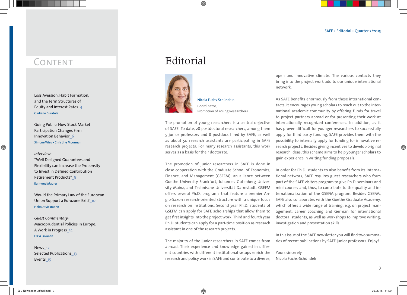## CONTENT

Loss Aversion, Habit Formation, and the Term Structures of Equity and Interest Rates**\_4 Giuliano Curatola**

Going Public: How Stock Market Participation Changes Firm Innovation Behavior**\_6 Simone Wies • Christine Moorman**

#### *Interview:*

"Well Designed Guarantees and Flexibility can Increase the Propensity to Invest in Defined Contribution Retirement Products"**\_8 Raimond Maurer** 

Would the Primary Law of the European Union Support a Eurozone Exit?**\_10 Helmut Siekmann**

*Guest Commentary:* Macroprudential Policies in Europe: A Work in Progress**\_14 Erkki Liikanen**

News**\_12** Selected Publications**\_13** Events**\_15**

## Editorial



Coordinator, Promotion of Young Researchers

Nicola Fuchs-Schündeln

The promotion of young researchers is a central objective of SAFE. To date, 28 postdoctoral researchers, among them 5 junior professors and 8 postdocs hired by SAFE, as well as about 50 research assistants are participating in SAFE research projects. For many research assistants, this work serves as a basis for their doctorate.

The promotion of junior researchers in SAFE is done in close cooperation with the Graduate School of Economics, Finance, and Management (GSEFM), an alliance between Goethe University Frankfurt, Johannes Gutenberg University Mainz, and Technische Universität Darmstadt. GSEFM offers several Ph.D. programs that feature a premier Anglo-Saxon research-oriented structure with a unique focus on research on institutions. Second year Ph.D. students of GSEFM can apply for SAFE scholarships that allow them to get first insights into the project work. Third and fourth year Ph.D. students can apply for a part-time position as research assistant in one of the research projects.

The majority of the junior researchers in SAFE comes from abroad. Their experience and knowledge gained in different countries with different institutional setups enrich the research and policy work in SAFE and contribute to a diverse,

open and innovative climate. The various contacts they bring into the project work add to our unique international network.

As SAFE benefits enormously from these international contacts, it encourages young scholars to reach out to the international academic community by offering funds for travel to project partners abroad or for presenting their work at internationally recognized conferences. In addition, as it has proven difficult for younger researchers to successfully apply for third party funding, SAFE provides them with the possibility to internally apply for funding for innovative research projects. Besides giving incentives to develop original research ideas, this scheme aims to help younger scholars to gain experience in writing funding proposals.

In order for Ph.D. students to also benefit from its international network, SAFE requires guest researchers who form part of the SAFE visitors program to give Ph.D. seminars and mini courses and, thus, to contribute to the quality and internationalization of the GSEFM program. Besides GSEFM, SAFE also collaborates with the Goethe Graduate Academy, which offers a wide range of training, e.g. on project management, career coaching and German for international doctoral students, as well as workshops to improve writing, investigation and presentation skills.

In this issue of the SAFE newsletter you will find two summaries of recent publications by SAFE junior professors. Enjoy!

Yours sincerely, Nicola Fuchs-Schündeln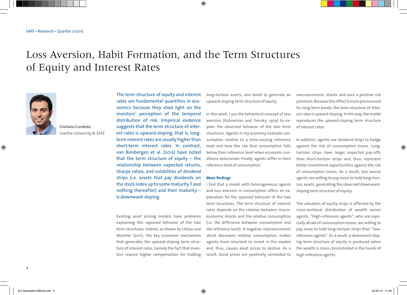# Loss Aversion, Habit Formation, and the Term Structures of Equity and Interest Rates



Giuliano Curatola Goethe University & SAFE The term structure of equity and interest rates are fundamental quantities in economics because they shed light on the investors' perception of the temporal distribution of risk. Empirical evidence suggests that the term structure of interest rates is upward-sloping, that is, longterm interest rates are usually higher than short-term interest rates. In contrast, van Binsbergen et al. (2012) have noted that the term structure of equity – the relationship between expected returns, Sharpe ratios, and volatilities of dividend strips (i.e. assets that pay dividends on the stock index up to some maturity T and nothing thereafter) and their maturity – is downward-sloping.

Existing asset pricing models have problems explaining this opposed behavior of the two term structures. Indeed, as shown by Lettau and Wachter (2011), the key economic mechanism that generates the upward-sloping term structure of interest rates, namely the fact that investors require higher compensation for holding

long-horizon assets, also tends to generate an upward-sloping term structure of equity.

In this work, I use the behavioral concept of loss aversion (Kahneman and Tversky, 1979) to explain the observed behavior of the two term structures. Agents in my economy evaluate consumption relative to a time-varying reference level and bear the risk that consumption falls below their reference level when economic conditions deteriorate. Finally, agents differ in their reference level of consumption.

#### **Main findings**

I find that a model with heterogeneous agents and loss aversion in consumption offers an explanation for the opposed behavior of the two term structures. The term structure of interest rates depends on the relation between macroeconomic shocks and the relative consumption (i.e. the difference between consumption and the reference level). A negative macroeconomic shock decreases relative consumption, makes agents more reluctant to invest in the market and, thus, causes asset prices to decline. As a result, bond prices are positively correlated to

macroeconomic shocks and earn a positive risk premium. Because this effect is more pronounced for long-term bonds, the term structure of interest rates is upward-sloping. In this way, the model reproduces the upward-sloping term structure of interest rates.

In addition, agents use dividend strips to hedge against the risk of consumption losses. Longhorizon strips have larger expected pay-offs than short-horizon strips and, thus, represent better investment opportunities against the risk of consumption losses. As a result, loss averse agents are willing to pay more to hold long-horizon assets, generating the observed downwardsloping term structure of equity.

The valuation of equity strips is affected by the cross-sectional distribution of wealth across agents. "High-reference agents", who are especially afraid of consumption losses, are willing to pay more to hold long-horizon strips than "lowreference agents". As a result, a downward-sloping term structure of equity is produced when the wealth is more concentrated in the hands of high-reference agents.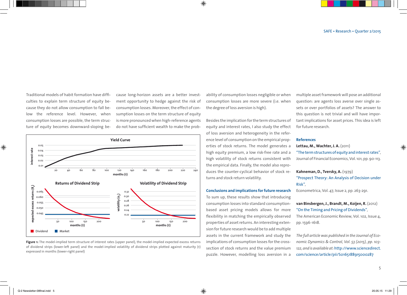Traditional models of habit formation have difficulties to explain term structure of equity because they do not allow consumption to fall below the reference level. However, when consumption losses are possible, the term structure of equity becomes downward-sloping because long-horizon assets are a better investment opportunity to hedge against the risk of consumption losses. Moreover, the effect of consumption losses on the term structure of equity is more pronounced when high-reference agents do not have sufficient wealth to make the prob-



#### Figure 1: The model-implied term structure of interest rates (upper panel), the model-implied expected excess returns of dividend strips (lower-left panel) and the model-implied volatility of dividend strips plotted against maturity (τ) expressed in months (lower-right panel)

ability of consumption losses negligible or when consumption losses are more severe (i.e. when the degree of loss aversion is high).

Besides the implication for the term structures of equity and interest rates, I also study the effect of loss aversion and heterogeneity in the reference level of consumption on the empirical properties of stock returns. The model generates a high equity premium, a low risk-free rate and a high volatility of stock returns consistent with the empirical data. Finally, the model also reproduces the counter-cyclical behavior of stock returns and stock return volatility.

#### **Conclusions and implications for future research**

To sum up, these results show that introducing consumption losses into standard consumptionbased asset pricing models allows for more flexibility in matching the empirically observed properties of asset returns. An interesting extension for future research would be to add multiple assets in the current framework and study the implications of consumption losses for the crosssection of stock returns and the value premium puzzle. However, modelling loss aversion in a

multiple asset framework will pose an additional question: are agents loss averse over single assets or over portfolios of assets? The answer to this question is not trivial and will have important implications for asset prices. This idea is left for future research.

#### **References**

**Lettau, M., Wachter, J. A.** (2011) "The term structures of equity and interest rates", Journal of Financial Economics, Vol. 101, pp. 90-113.

**Kahneman, D., Tversky, A.** (1979) "Prospect Theory: An Analysis of Decision under Risk",

Econometrica, Vol. 47, Issue 2, pp. 263-291.

## **van Binsbergen, J., Brandt, M., Koijen, R.** (2012) "On the Timing and Pricing of Dividends", The American Economic Review, Vol. 102, Issue 4, pp. 1596-1618.

*The full article was published in the Journal of Economic Dynamics & Control, Vol. 53 (2015), pp. 103- 122, and is available at:* http://www.sciencedirect. com/science/article/pii/S0165188915000287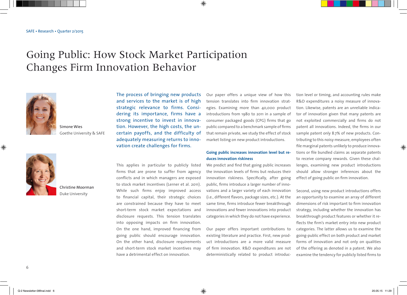# Going Public: How Stock Market Participation Changes Firm Innovation Behavior



Simone Wies Goethe University & SAFE



Christine Moorman Duke University

The process of bringing new products and services to the market is of high strategic relevance to firms. Considering its importance, firms have a strong incentive to invest in innovation. However, the high costs, the uncertain payoffs, and the difficulty of adequately measuring returns to innovation create challenges for firms.

This applies in particular to publicly listed firms that are prone to suffer from agency conflicts and in which managers are exposed to stock market incentives (Lerner et al. 2011). While such firms enjoy improved access to financial capital, their strategic choices are constrained because they have to meet short-term stock market expectations and disclosure requests. This tension translates into opposing impacts on firm innovation. On the one hand, improved financing from going public should encourage innovation. On the other hand, disclosure requirements and short-term stock market incentives may have a detrimental effect on innovation.

Our paper offers a unique view of how this tension translates into firm innovation strategies. Examining more than 40,000 product introductions from 1980 to 2011 in a sample of consumer packaged goods (CPG) firms that go public compared to a benchmark sample of firms that remain private, we study the effect of stock market listing on new product introductions.

## **Going public increases innovation level but reduces innovation riskiness**

We predict and find that going public increases the innovation levels of firms but reduces their innovation riskiness. Specifically, after going public, firms introduce a larger number of innovations and a larger variety of each innovation (i.e., different flavors, package sizes, etc.). At the same time, firms introduce fewer breakthrough innovations and fewer innovations into product categories in which they do not have experience.

Our paper offers important contributions to existing literature and practice. First, new product introductions are a more valid measure of firm innovation. R&D expenditures are not deterministically related to product introduction level or timing, and accounting rules make R&D expenditures a noisy measure of innovation. Likewise, patents are an unreliable indicator of innovation given that many patents are not exploited commercially and firms do not patent all innovations. Indeed, the firms in our sample patent only 8.7% of new products. Contributing to this noisy measure, employees often file marginal patents unlikely to produce innovations or file bundled claims as separate patents to receive company rewards. Given these challenges, examining new product introductions should allow stronger inferences about the effect of going public on firm innovation.

Second, using new product introductions offers an opportunity to examine an array of different dimensions of risk important to firm innovation strategy, including whether the innovation has breakthrough product features or whether it reflects the firm's market entry into new product categories. The latter allows us to examine the going-public effect on both product and market forms of innovation and not only on qualities of the offering as denoted in a patent. We also examine the tendency for publicly listed firms to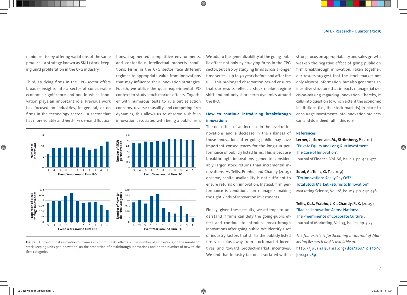minimize risk by offering variations of the same product – a strategy known as SKU (stock-keeping unit) proliferation in the CPG industry.

Third, studying firms in the CPG sector offers broader insights into a sector of considerable economic significance and one in which innovation plays an important role. Previous work has focused on industries, in general, or on firms in the technology sector – a sector that has more volatile and herd-like demand fluctuations, fragmented competitive environments, and contentious intellectual property conditions. Firms in the CPG sector face different regimes to appropriate value from innovations that may influence their innovation strategies. Fourth, we utilize the quasi-experimental IPO context to study stock market effects. Together with numerous tests to rule out selection concerns, reverse causality, and competing firm dynamics, this allows us to observe a shift in innovation associated with being a public firm.



**Figure 1:** Unconditional innovation outcomes around firm IPO: effects on the number of innovations, on the number of stock-keeping units per innovation, on the proportion of breakthrough innovations and on the number of new-to-the firm categories

We add to the generalizability of the going-public effect not only by studying firms in the CPG sector, but also by studying firms across a longer time series – up to 30 years before and after the IPO. This prolonged observation period ensures that our results reflect a stock market regime shift and not only short-term dynamics around the IPO.

### **How to continue introducing breakthrough innovations**

The net effect of an increase in the level of innovations and a decrease in the riskiness of those innovations after going public may have important consequences for the long-run performance of publicly listed firms. This is because breakthrough innovations generate considerably larger stock returns than incremental innovations. As Tellis, Prabhu, and Chandy (2009) observe, capital availability is not sufficient to ensure returns on innovation. Instead, firm performance is conditional on managers making the right kinds of innovation investments.

Finally, given these results, we attempt to understand if firms can defy the going-public effect and continue to introduce breakthrough innovations after going public. We identify a set of industry factors that shifts the publicly listed firm's calculus away from stock market incentives and toward product-market incentives. We find that industry factors associated with a

strong focus on appropriability and sales growth weaken the negative effect of going public on firm breakthrough innovation. Taken together, our results suggest that the stock market not only absorbs information, but also generates an incentive structure that impacts managerial decision-making regarding innovation. Thereby, it calls into question to which extent the economic institutions (i.e., the stock markets) in place to encourage investments into innovation projects can and do indeed fulfill this role.

#### **References**

**Lerner, J., Sorensen, M., Strömberg, P.** (2011) "Private Equity and Long-Run Investment: The Case of Innovation", Journal of Finance, Vol. 66, Issue 2, pp. 445-477.

**Sood, A., Tellis, G. T.** (2009) "Do Innovations Really Pay Off? Total Stock Market Returns to Innovation", Marketing Science, Vol. 28, Issue 3, pp. 442-456.

**Tellis, G. J., Prabhu, J. C., Chandy, R. K.** (2009) "Radical Innovation Across Nations: The Preeminence of Corporate Culture", Journal of Marketing, Vol. 73, Issue 1, pp. 3-23.

*The full article is forthcoming in Journal of Marketing Research and is available at:*  http://journals.ama.org/doi/abs/10.1509/ jmr.13.0289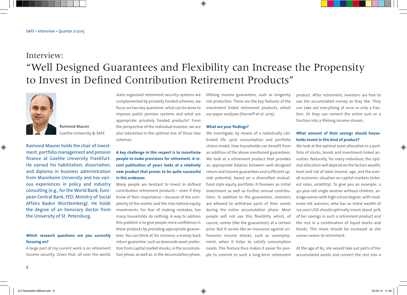## Interview: "Well Designed Guarantees and Flexibility can Increase the Propensity to Invest in Defined Contribution Retirement Products"



Raimond Maurer Goethe University & SAFE

Raimond Maurer holds the chair of investment, portfolio management and pension finance at Goethe University Frankfurt. He earned his habilitation, dissertation, and diploma in business administration from Mannheim University and has various experiences in policy and industry consulting (e.g., for the World Bank, European Central Bank, FED, Ministry of Social Affairs Baden Württemberg). He holds the degree of an honorary doctor from the University of St. Petersburg.

## **Which research questions are you currently focusing on?**

A large part of my current work is on retirement income security. Given that, all over the world,

state organized retirement security systems are complemented by privately funded schemes, we focus on two key questions: what can be done to improve public pension systems and what are appropriate privately funded products? From the perspective of the individual investor, we are also interested in the optimal mix of these two schemes.

## **A key challenge in this respect is to incentivize people to make provisions for retirement. A recent publication of yours looks at a relatively new product that proves to be quite successful in this endeavor.**

Many people are hesitant to invest in defined contribution retirement products – even if they know of their importance – because of the complexity of the matter and the risks behind equity investments. For fear of making mistakes, too many households do nothing. A way to address this problem is to give people more confidence in these products by providing appropriate guarantees. You can think of, for instance, a money-back return guarantee, such as downside asset protection from capital market shocks, in the accumulation phase, as well as, in the decumulation phase,

lifelong income guarantees, such as longevity risk protection. These are the key features of the investment linked retirement products, which our paper analyzes (Horneff et al. 2015).

#### **What are your findings?**

We investigate, by means of a realistically calibrated life cycle consumption and portfolio choice model, how households can benefit from an addition of the above mentioned guarantees. We look at a retirement product that provides an appropriate balance between well-designed return and income guarantees and sufficient upside potential, based on a diversified mutualfund style equity portfolio. It foresees an initial investment as well as further annual contributions. In addition to the guarantees, investors are allowed to withdraw parts of their assets during the entire accumulation phase. Most people will not use this flexibility which, of course, comes (like the guarantees) at a certain price. But it serves like an insurance against unforeseen income shocks, such as unemployment, when it helps to satisfy consumption needs. This feature thus makes it easier for people to commit to such a long-term retirement

product. After retirement, investors are free to use the accumulated money as they like. They can take out everything at once or only a fraction. Or they can convert the entire sum or a fraction into a lifelong income stream.

## **What amount of their savings should households invest in this kind of product?**

We look at the optimal asset allocation in a portfolio of stocks, bonds and investment-linked annuities. Naturally, for every individual, the optimal allocation will depend on the factors wealth, level and risk of labor income, age, and the overall economic situation on capital markets (interest rates, volatility). To give you an example: a 40-year-old single woman without children, average earner with high school degree, with moderate risk aversion, who has an initial wealth of 120,000 USD should optimally invest about 30% of her savings in such a retirement product and the rest in a combination of liquid stocks and bonds. This share should be increased as she comes nearer to retirement.

At the age of 65, she would take out parts of her accumulated assets and convert the rest into a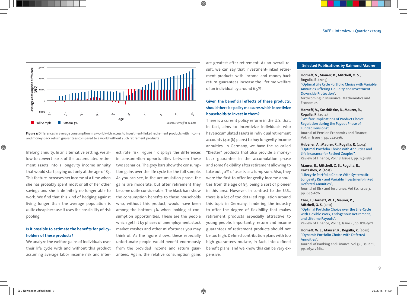

**Figure 1:** Differences in average consumption in a world with access to investment-linked retirement products with income and money-back return guarantees compared to a world without such retirement products

lifelong annuity. In an alternative setting, we allow to convert parts of the accumulated retirement assets into a longevity income annuity that would start paying out only at the age of 85. This feature increases her income at a time when she has probably spent most or all of her other savings and she is definitely no longer able to work. We find that this kind of hedging against living longer than the average population is quite cheap because it uses the possibility of risk pooling.

## **Is it possible to estimate the benefits for policyholders of these products?**

We analyze the welfare gains of individuals over their life cycle with and without this product assuming average labor income risk and interest rate risk. Figure 1 displays the differences in consumption opportunities between these two scenarios. The grey bars show the consumption gains over the life cycle for the full sample. As you can see, in the accumulation phase, the gains are moderate, but after retirement they become quite considerable. The black bars show the consumption benefits to those households who, without this product, would have been among the bottom 5% when looking at consumption opportunities. These are the people which get hit by phases of unemployment, stock market crashes and other misfortunes you may think of. As the figure shows, these especially unfortunate people would benefit enormously from the provided income and return guarantees. Again, the relative consumption gains

are greatest after retirement. As an overall result, we can say that investment-linked retirement products with income and money-back return guarantees increase the lifetime welfare of an individual by around 6.5%.

## **Given the beneficial effects of these products, should there be policy measures which incentivize households to invest in them?**

There is a current policy reform in the U.S. that, in fact, aims to incentivize individuals who have accumulated assets in individual retirement accounts (401(k) plans) to buy longevity income annuities. In Germany, we have the so called "Riester" products that also provide a moneyback guarantee in the accumulation phase and some flexibility after retirement allowing to take out 30% of assets as a lump sum. Also, they were the first to offer longevity income annuities from the age of 85, being a sort of pioneer in this area. However, in contrast to the U.S., there is a lot of too detailed regulation around this topic in Germany, hindering the industry to offer the degree of flexibility that makes retirement products especially attractive to young people. Importantly, return and income guarantees of retirement products should not be too high. Defined contribution plans with too high guarantees mutate, in fact, into defined benefit plans, and we know this can be very expensive.

#### **Selected Publications by Raimond Maurer**

**Horneff, V., Maurer, R., Mitchell, O. S., Rogalla, R.** (2015) "Optimal Life Cycle Portfolio Choice with Variable Annuities Offering Liquidity and Investment Downside Protection", forthcoming in Insurance: Mathematics and Economics.

**Horneff, V., Kaschützke, B., Maurer, R., Rogalla, R.** (2014) "Welfare Implications of Product Choice Regulation during the Payout Phase of

Funded Pensions", Journal of Pension Economics and Finance, Vol. 13, Issue 3, pp. 272-296.

**Hubener, A., Maurer, R., Rogalla, R.** (2014) "Optimal Portfolio Choice with Annuities and Life Insurance for Retired Couples", Review of Finance, Vol. 18, Issue 1, pp. 147-188.

#### **Maurer, R., Mitchell, O. S., Rogalla, R., Kartashov, V.** (2013)

"Lifecycle Portfolio Choice With Systematic Longevity Risk and Variable Investment-linked Deferred Annuities",

Journal of Risk and Insurance, Vol 80, Issue 3, pp. 649-676.

**Chai, J., Horneff, W. J., Maurer, R., Mitchell, O. S.** (2011) "Optimal Portfolio Choice over the Life-Cycle with Flexible Work, Endogenous Retirement,

and Lifetime Payouts", Review of Finance, Vol. 15, Issue 4, pp. 875-907.

**Horneff, W. J., Maurer, R., Rogalla, R.** (2010) "Dynamic Portfolio Choice with Deferred Annuities",

Journal of Banking and Finance, Vol 34, Issue 11, pp. 2652-2664.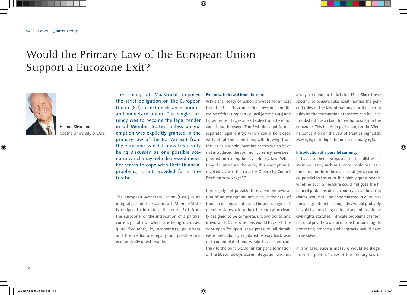# Would the Primary Law of the European Union Support a Eurozone Exit?



Helmut Siekmann Goethe University & SAFE

The Treaty of Maastricht imposed the strict obligation on the European Union (EU) to establish an economic and monetary union. The single currency was to become the legal tender in all Member States, unless an exemption was explicitly granted in the primary law of the EU. An exit from the eurozone, which is now frequently being discussed as one possible scenario which may help distressed member states to cope with their financial problems, is not provided for in the treaties.

The European Monetary Union (EMU) is an integral part of the EU and each Member State is obliged to introduce the euro. Exit from the eurozone, or the introcution of a parallel currency, both of which are being discussed quite frequently by economists, politicians and the media, are legally not possible and economically questionable.

#### **Exit or withdrawal from the euro**

While the Treaty of Lisbon provides for an exit from the EU – this can be done by simple notification of the European Council (Article 50(1) and (2) sentence 1 TEU) – an exit soley from the eurozone is not foreseen. The EMU does not form a separate legal entity, which could be exited without, at the same time, withdrawing from the EU as a whole. Member states which have not introduced the common currency have been granted an exemption by primary law. When they do introduce the euro, this exemption is revoked, as was the case for Greece by Council Decision 2000/427/EC.

It is legally not possible to reverse the revocation of an exemption, not even in the case of fraud or misrepresentation. The acts obliging all member states to introduce the euro were clearly designed to be complete, unconditional, and irrevocable. Otherwise, this would have left the door open for speculative pressure. All details were meticulously regulated. A way back was not contemplated and would have been contrary to the principle dominating the formation of the EU: an always closer integration and not a way back and forth (Article 1 TEU). Since these specific, conclusive rules exist, neither the general rules of the law of nations, nor the special rules on the termination of treaties can be used to substantiate a claim for withdrawal from the eurozone. This holds, in particular, for the Vienna Convention on the Law of Treaties, signed 23 May 1969 entering into force 27 January 1980.

#### **Introduction of a parallel currency**

It has also been proposed that a distressed Member State, such as Greece, could maintain the euro, but introduce a second (new) currency, parallel to the euro. It is highly questionable whether such a measure could mitigate the financial problems of the country, as all financial claims would still be denominated in euro. National legislation to change this would probably be void by breaching national and international civil rights statutes. Intricate problems of international private law and of constitutional rights protecting property and contracts would have to be solved.

In any case, such a measure would be illegal from the point of view of the primary law of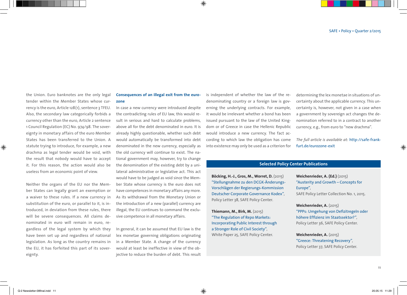the Union. Euro banknotes are the only legal tender within the Member States whose currency is the euro, Article 128(1), sentence 3 TFEU. Also, the secondary law categorically forbids a currency other than the euro, Article 2 sentence 1 Council Regulation (EC) No. 974/98. The sovereignty in monetary affairs of the euro Member States has been transferred to the Union. A statute trying to introduce, for example, a new drachma as legal tender would be void, with the result that nobody would have to accept it. For this reason, the action would also be useless from an economic point of view.

Neither the organs of the EU nor the Member States can legally grant an exemption or a waiver to these rules. If a new currency in substitution of the euro, or parallel to it, is introduced, in deviation from these rules, there will be severe consequences. All claims denominated in euro will remain in euro, regardless of the legal system by which they have been set up and regardless of national legislation. As long as the country remains in the EU, it has forfeited this part of its sovereignty.

## **Consequences of an illegal exit from the eurozone**

In case a new currency were introduced despite the contradicting rules of EU law, this would result in serious and hard to calculate problems, above all for the debt denominated in euro. It is already highly questionable, whether such debt would automatically be transformed into debt denominated in the new currency, especially as the old currency will continue to exist. The national government may, however, try to change the denomination of the existing debt by a unilateral administrative or legislative act. This act would have to be judged as void since the Member State whose currency is the euro does not have competences in monetary affairs any more. As its withdrawal from the Monetary Union or the introduction of a new (parallel) currency are illegal, the EU continues to command the exclusive competence in all monetary affairs.

In general, it can be assumed that EU law is the lex monetae governing obligations originating in a Member State. A change of the currency would at least be ineffective in view of the objective to reduce the burden of debt. This result

is independent of whether the law of the redenominating country or a foreign law is governing the underlying contracts. For example, it would be irrelevant whether a bond has been issued pursuant to the law of the United Kingdom or of Greece in case the Hellenic Republic would introduce a new currency. The fact according to which law the obligation has come into existence may only be used as a criterion for determining the lex monetae in situations of uncertainty about the applicable currency. This uncertainty is, however, not given in a case when a government by sovereign act changes the denomination referred to in a contract to another currency, e.g., from euro to "new drachma".

*The full article is available at:* http://safe-frankfurt.de/eurozone-exit

## **Selected Policy Center Publications**

**Böcking, H.-J., Gros, M., Worret, D.** (2015) "Stellungnahme zu den DCGK-Änderungs-Vorschlägen der Regierungs-Kommission Deutscher Corporate Governance Kodex", Policy Letter 38, SAFE Policy Center.

**Thiemann, M., Birk, M.** (2015) "The Regulation of Repo Markets: Incorporating Public Interest through a Stronger Role of Civil Society", White Paper 25, SAFE Policy Center.

**Weichenrieder, A. (Ed.)** (2015) "Austerity and Growth – Concepts for Europe", SAFE Policy Letter Collection No. 1, 2015.

**Weichenrieder, A.** (2015) "PPPs: Umgehung von Defizitregeln oder höhere Effizienz im Staatssektor?", Policy Letter 36, SAFE Policy Center.

**Weichenrieder, A.** (2015) "Greece: Threatening Recovery", Policy Letter 37, SAFE Policy Center.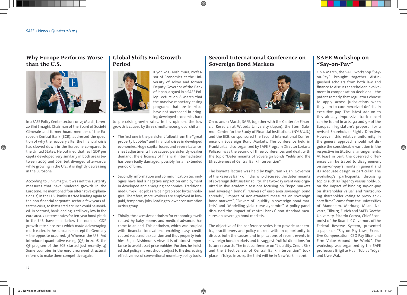## **Why Europe Performs Worse than the U.S.**



In a SAFE Policy Center Lecture on 25 March, Lorenzo Bini Smaghi, Chairman of the Board of Société Générale and former board member of the European Central Bank (ECB), addressed the question of why the recovery after the financial crisis has slowed down in the Eurozone compared to the United States. He outlined that real GDP per capita developed very similarly in both areas between 2007 and 2011 but diverged afterwards: while growing in the U.S., it is slightly decreasing in the Eurozone.

According to Bini Smaghi, it was not the austerity measures that have hindered growth in the Eurozone. He mentioned four alternative explanations: 1) In the U.S., banks started lending again to the non-financial corporate sector a few years after the crisis, so that a credit crunch could be avoided. In contrast, bank lending is still very low in the euro area. 2) Interest rates for ten-year bond yields in the U.S. have been below the nominal GDP growth rate since 2011 which made deleveraging much easier. In the euro area – except for Germany – the opposite occurred. 3) Whereas the U.S. Fed introduced quantitative easing (QE) in 2008, the QE program of the ECB started just recently. 4) Some countries in the euro area need structural reforms to make them competitive again.

## **Global Shifts End Growth Period**

Kiyohiko G. Nishimura, Professor of Economics at the University of Tokyo and former Deputy Governor of the Bank of Japan, argued in a SAFE Policy Lecture on 6 March that the massive monetary easing programs that are in place have not succeeded in bringing developed economies back

to pre-crisis growth rates. In his opinion, the low growth is caused by three simultaneous global shifts:

- The first one is the persistent fallout from the "great property bubbles" and financial crises in developed economies. Huge capital losses and severe balancesheet adjustments have caused persistently weaker demand; the efficiency of financial intermediation has been badly damaged, possibly for an extended period of time.
- Secondly, information and communication technologies have had a negative impact on employment in developed and emerging economies. Traditional medium-skilled jobs are being replaced by technologies. Therefore, more workers are employed in lowpaid, temporary jobs, leading to lower consumption in this group.
- Thirdly, the excessive optimism for economic growth caused by baby booms and medical advances has come to an end. This optimism, which was coupled with financial innovations enabling easy credit, caused vast credit expansion and thus property bubbles. So, in Nishimura's view, it is of utmost importance to avoid asset price bubbles. Further, he insisted that policy makers should adjust to the decreasing effectiveness of conventional monetary policy tools.

## **Second International Conference on Sovereign Bond Markets**



On 10 and 11 March, SAFE, together with the Center for Financial Research at Waseda University (Japan), the Stern Salomon Center for the Study of Financial Institutions (NYU/U.S.) and the ECB, co-sponsored the Second International Conference on Sovereign Bond Markets. The conference held in Frankfurt and co-organized by SAFE Program Director Loriana Pelizzon was the second of three conferences and dealt with the topic "Determinants of Sovereign Bonds Yields and the Effectiveness of Central Bank Intervention".

The keynote lecture was held by Raghuram Rajan, Governor of the Reserve Bank of India, who discussed the determinants of sovereign debt sustainability. The two-day event was organized in five academic sessions focusing on "Repo markets and sovereign bonds", "Drivers of euro area sovereign bond spreads", "Impact of non-standard measures on sovereign bond markets", "Drivers of liquidity in sovereign bond markets" and "Modelling yield curve dynamics". A policy panel discussed the impact of central banks' non-standard-measures on sovereign bond markets.

The objective of the conference series is to provide academics, practitioners and policy makers with an opportunity to discuss both the causes and implications of recent events in sovereign bond markets and to suggest fruitful directions for future research. The first conference on "Liquidity, Credit Risk and the Effectiveness of Central Bank Intervention" took place in Tokyo in 2014, the third will be in New York in 2016.

## **SAFE Workshop on "Say-on-Pay"**

On 6 March, the SAFE workshop "Sayon-Pay" brought together distinguished scholars from both law and finance to discuss shareholder involvement in compensation decisions – the patent remedy that regulators choose to apply across jurisdictions when they aim to cure perceived deficits in executive pay. The latest add-on to this already impressive track record can be found in arts. 9a and 9b of the European legislature's proposal for a revised Shareholder Rights Directive. However, this relative uniformity in the general approach should not disguise the considerable variation in the respective institutional arrangements. At least in part, the observed differences can be traced to disagreement on say-on-pay's merits in general and its adequate design in particular. The workshop's participants, discussing topics such as "agency versus hold-up: on the impact of binding say-on-pay on shareholder value" and "outsourcing shareholder voting to proxy advisory firms", came from the universities of Mannheim, Marburg, Milan, Navarra, Tilburg, Zurich and SAFE/Goethe University. Ricardo Correa, Chief Economist of the Board of Governors of the Federal Reserve System, presented a paper on "Say on Pay Laws, Executive Compensation, CEO Pay Slice, and Firm Value Around the World". The workshop was organized by the SAFE professors Brigitte Haar, Tobias Tröger and Uwe Walz.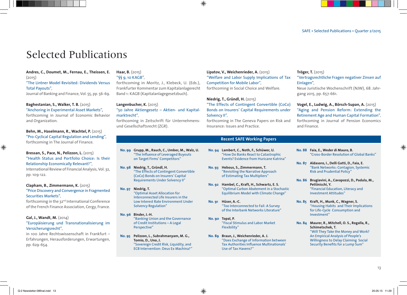## Selected Publications

**Andres, C., Doumet, M., Fernau, E., Theissen, E.**   $(2015)$ 

## "The Lintner Model Revisited: Dividends Versus Total Payouts",

Journal of Banking and Finance, Vol. 55, pp. 56-69.

**Baghestanian, S., Walker, T. B.** (2015) "Anchoring in Experimental Asset Markets",

forthcoming in Journal of Economic Behavior and Organization.

**Behn, M., Haselmann, R., Wachtel, P.** (2015) "Pro-Cyclical Capital Regulation and Lending", forthcoming in The Journal of Finance.

**Bressan, S., Pace, N., Pelizzon, L.** (2015) "Health Status and Portfolio Choice: Is their Relationship Economically Relevant?",

International Review of Financial Analysis, Vol. 32, pp. 109-122.

## **Clapham, B., Zimmermann, K.** (2015)

### "Price Discovery and Convergence in Fragmented Securities Markets",

forthcoming in the 32nd International Conference of the French Finance Association, Cergy, France.

## **Gal, J., Wandt, M.** (2014)

### "Europäisierung und Transnationalisierung im Versicherungsrecht",

in 100 Jahre Rechtswissenschaft in Frankfurt – Erfahrungen, Herausforderungen, Erwartungen, pp. 629-654.

### **Haar, B.** (2015) "§§ 9, 10 KAGB",

forthcoming in Moritz, J., Klebeck, U. (Eds.), Frankfurter Kommentar zum Kapitalanlagerecht Band 1: KAGB (Kapitalanlagegesetzbuch).

## **Langenbucher, K.** (2015) "50 Jahre Aktiengesetz – Aktien- und Kapitalmarktrecht",

forthcoming in Zeitschrift für Unternehmensund Gesellschaftsrecht (ZGR).

**No. 99 Grupp, M., Rauch, C., Umber, M., Walz, U.**  "The Influence of Leveraged Buyouts on Target Firms' Competitors"

> "Optimal Asset Allocation for Intercon nected Life Insurers in the Low Interest Rate Environment Under

**No. 95 Pelizzon, L., Subrahmanyam, M. G., Tomio, D., Uno, J.** 

"Banking Union and the Governance of Credit Institutions – A Legal

"Sovereign Credit Risk, Liquidity, and ECB Intervention: Deus Ex Machina?"

Solvency Regulation"

"The Effects of Contingent Convertible (CoCo) Bonds on Insurers' Capital Requirements Under Solvency II"

**No. 98 Niedrig, T., Gründl, H.** 

**No. 97 Niedrig, T.** 

**No. 96 Binder, J.-H.** 

Perspective"

**Lipatov, V., Weichenrieder, A.** (2015) "Welfare and Labor Supply Implications of Tax Competition for Mobile Labor", forthcoming in Social Choice and Welfare.

**Niedrig, T., Gründl, H.** (2015) "The Effects of Contingent Convertible (CoCo) Bonds on Insurers' Capital Requirements under Solvency II",

forthcoming in The Geneva Papers on Risk and Insurance: Issues and Practice.

## **Recent SAFE Working Papers**

- **No. 94 Lambert, C., Noth, F., Schüwer, U.** "How Do Banks React to Catastrophic Events? Evidence from Huricane Katrina"
- **No. 93 Hebous, S., Zimmermann, T.**  "Revisiting the Narrative Approach of Estimating Tax Multipliers"
- **No. 92 Hambel, C., Kraft, H., Schwartz, E. S.** "Optimal Carbon Abatement in a Stochastic Equilibrium Model with Climate Change"
- **No. 91 Hüser, A.-C.**  "Too Interconnected to Fail: A Survey of the Interbank Networks Literature"
- **No. 90 Topal, P.**  "Fiscal Stimulus and Labor Market Flexibility"
- **No. 89 Braun, J., Weichenrieder, A. J.**  "Does Exchange of Information between Tax Authorities Influence Multinationals' Use of Tax Havens?"

## **Tröger, T.** (2015) "Vertragsrechtliche Fragen negativer Zinsen auf Einlagen",

Neue Juristische Wochenschrift (NJW), 68. Jahrgang 2015, pp. 657-661.

## **Vogel, E., Ludwig, A., Börsch-Supan, A.** (2015) "Aging and Pension Reform: Extending the Retirement Age and Human Capital Formation", forthcoming in Journal of Pension Economics and Finance.

- **No. 88 Faia, E., Weder di Mauro, B.** "Cross-Border Resolution of Global Banks"
- **No. 87 Aldasoro, I., Delli Gatti, D., Faia, E.** "Bank Networks: Contagion, Systemic Risk and Prudential Policy"
- **No. 86 Brugiavini, A., Cavapozzi, D., Padula, M., Pettinicchi, Y.** "Financial Education, Literacy and Investment Attitudes"
- **No. 85 Kraft, H., Munk, C., Wagner, S.** "Housing Habits and Their Implications for Life-Cycle Consumption and Investment"
- **No. 84 Maurer, R., Mitchell, O. S., Rogalla, R., Schimetschek, T.** "Will They Take the Money and Work? An Empirical Analysis of People's Willingness to Delay Claiming Social Security Benefits for a Lump Sum"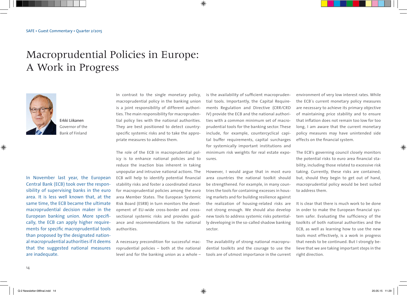# Macroprudential Policies in Europe: A Work in Progress



Erkki Liikanen Governor of the Bank of Finland

In November last year, the European Central Bank (ECB) took over the responsibility of supervising banks in the euro area. It is less well known that, at the same time, the ECB became the ultimate macroprudential decision maker in the European banking union. More specifically, the ECB can apply higher requirements for specific macroprudential tools than proposed by the designated national macroprudential authorities if it deems that the suggested national measures are inadequate.

In contrast to the single monetary policy, macroprudential policy in the banking union is a joint responsibility of different authorities. The main responsibility for macroprudential policy lies with the national authorities. They are best positioned to detect countryspecific systemic risks and to take the appropriate measures to address them.

The role of the ECB in macroprudential policy is to enhance national policies and to reduce the inaction bias inherent in taking unpopular and intrusive national actions. The ECB will help to identify potential financial stability risks and foster a coordinated stance for macroprudential policies among the euro area Member States. The European Systemic Risk Board (ESRB) in turn monitors the development of EU-wide cross-border and crosssectional systemic risks and provides guidance and recommendations to the national authorities.

A necessary precondition for successful macroprudential policies – both at the national level and for the banking union as a whole – is the availability of sufficient macroprudential tools. Importantly, the Capital Requirements Regulation and Directive (CRR/CRD IV) provide the ECB and the national authorities with a common minimum set of macroprudential tools for the banking sector. These include, for example, countercyclical capital buffer requirements, capital surcharges for systemically important institutions and minimum risk weights for real estate exposures.

However, I would argue that in most euro area countries the national toolkit should be strengthened. For example, in many countries the tools for containing excesses in housing markets and for building resilience against the realization of housing-related risks are not strong enough. We should also develop new tools to address systemic risks potentially developing in the so-called shadow banking sector.

The availability of strong national macroprudential toolkits and the courage to use the tools are of utmost importance in the current environment of very low interest rates. While the ECB´s current monetary policy measures are necessary to achieve its primary objective of maintaining price stability and to ensure that inflation does not remain too low for too long, I am aware that the current monetary policy measures may have unintended side effects on the financial system.

The ECB's governing council closely monitors the potential risks to euro area financial stability, including those related to excessive risk taking. Currently, these risks are contained; but, should they begin to get out of hand, macroprudential policy would be best suited to address them.

It is clear that there is much work to be done in order to make the European financial system safer. Evaluating the sufficiency of the toolkits of both national authorities and the ECB, as well as learning how to use the new tools most effectively, is a work in progress that needs to be continued. But I strongly believe that we are taking important steps in the right direction.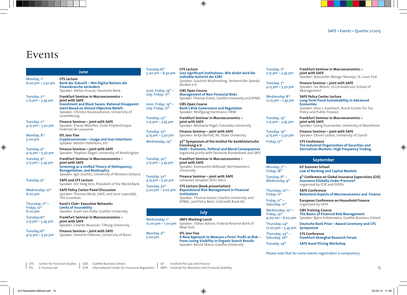## Events

| TUESC<br>June<br>5.00                                               |                                                                                                                                                                                                                               |                                             |
|---------------------------------------------------------------------|-------------------------------------------------------------------------------------------------------------------------------------------------------------------------------------------------------------------------------|---------------------------------------------|
| Monday, 1st<br>$6.00 \text{ pm} - 7.30 \text{ pm}$                  | <b>CFS Lecture</b><br>Bank der Zukunft – Wie Digital Natives die<br>Finanzbranche verändern<br>Speaker: Stefan Krause, Deutsche Bank                                                                                          | June,                                       |
| Tuesday, 2 <sup>nd</sup><br>$2.15$ pm $-$ 3.45 pm                   | Frankfurt Seminar in Macroeconomics -<br>ioint with SAFE<br><b>Investment and Black Swans: Rational Disappoint-</b><br>ment Based on Almost Objective Beliefs<br>Speaker: Christos Koulovatianos, University of<br>Luxembourg | July, F<br>June,<br>July, F<br><b>Tuesc</b> |
| Tuesday, 2 <sup>nd</sup><br>4.15 pm - 5.30 pm                       | Finance Seminar - joint with SAFE<br>Speaker: Erwan Morellec, Ecole Polytechnique<br>Federale de Lausanne                                                                                                                     | 2.15 p<br><b>Tuesc</b>                      |
| Monday, 8 <sup>th</sup><br>5.00 pm                                  | <b>EFL Jour Fixe</b><br>Cryptocurrencies - Usage and User Intentions<br>Speaker: Martin Haferkorn, EFL                                                                                                                        | 4.15 p<br>Wedr                              |
| Tuesday, 9 <sup>th</sup><br>4.15 $pm - 5.30$ pm                     | Finance Seminar - joint with SAFE<br>Speaker: Stephan Siegel, University of Washington                                                                                                                                        |                                             |
| Tuesday, 9 <sup>th</sup><br>$2.15$ pm $-$ 3.45 pm                   | <b>Frankfurt Seminar in Macroeconomics -</b><br>joint with SAFE<br>Screening as a Unified Theory of Delinquency,<br><b>Renegotiation, and Bankruptcy</b><br>Speaker: Igor Livshits, University of Western Ontario             | Tuesc<br>$2.15$ $p$<br><b>Tuesc</b>         |
| Tuesday, 9 <sup>th</sup>                                            | <b>SAFE and CFS Lecture</b><br>Speaker: Jim Yong Kim, President of the World Bank                                                                                                                                             | 4.15 p<br><b>Tuesc</b><br>5.00              |
| Wednesday, 10 <sup>th</sup><br>6.00 pm                              | <b>SAFE Policy Center Panel Discussion</b><br>Speaker: Thomas Mosk, SAFE, and Joris Luyendijk,<br>The Guardian                                                                                                                |                                             |
| Thursday, $11^{\text{th}}$ –<br>Friday, 12 <sup>th</sup><br>6.00 pm | Karel's Club-Executive Networks<br><b>Limits of Insurability</b><br>Speaker: Karel van Hulle, Goethe University                                                                                                               |                                             |
| Tuesday, 16 <sup>th</sup><br>$2.15$ pm $-$ 3.45 pm                  | Frankfurt Seminar in Macroeconomics -<br>joint with SAFE<br>Speaker: Charles Noussair, Tilburg University                                                                                                                     | Wedr<br>12.00                               |
| Tuesday, 16 <sup>th</sup><br>4.15 pm - 5.30 pm                      | Finance Seminar - joint with SAFE<br>Speaker: Hendrik Hakenes, University of Bonn                                                                                                                                             | Mono<br>5.00                                |

| Tuesday, 16 <sup>th</sup><br>5.00 $pm - 6.30$ pm       | <b>CFS Lecture</b><br>Less significant institutions: Wie direkt wird die<br>indirekte Aufsicht der EZB?<br>Speaker: Joachim Wuermeling, Verband der Sparda<br>Banken e.V.                                     |
|--------------------------------------------------------|---------------------------------------------------------------------------------------------------------------------------------------------------------------------------------------------------------------|
| June, Friday, 19 <sup>th</sup> –<br>July, Friday, 17th | <b>GBS Open Course</b><br><b>Management of Non-Financial Risks</b><br>Speaker: Thomas Kaiser, Goethe University and KPMG                                                                                      |
| June, Friday, $19^{th}$ –<br>July, Friday, 17th        | <b>GBS Open Course</b><br><b>Bank's Risk Governance and Regulation</b><br>Speaker: Wolfgang Hartmann, FIRM                                                                                                    |
| Tuesday, 23rd<br>$2.15$ pm $-$ 3.45 pm                 | <b>Frankfurt Seminar in Macroeconomics –</b><br>joint with SAFE<br>Speaker: Michaela Pagel, Columbia University                                                                                               |
| Tuesday, 23rd<br>4.15 pm - 5.30 pm                     | Finance Seminar – joint with SAFE<br>Speaker: Antje Berndt, NC State University                                                                                                                               |
| Wednesday, 24 <sup>th</sup>                            | 37 <sup>th</sup> Symposium of the Institut für bankhistorische<br>Forschung e.V.<br><b>Debt – Economic, Political and Moral Consequences</b><br>organized jointly with Deutsche Bundesbank and SAFE           |
| Tuesday, 30 <sup>th</sup><br>$2.15$ pm $-$ 3.45 pm     | <b>Frankfurt Seminar in Macroeconomics -</b><br>joint with SAFE<br>Speaker: Konstantin Milbradt, Northwestern<br>University                                                                                   |
| Tuesday, 30 <sup>th</sup><br>4.15 pm - 5.30 pm         | Finance Seminar – joint with SAFE<br>Johannes Stroebel, NYU Stern                                                                                                                                             |
| Tuesday, 30 <sup>th</sup><br>5.00 $pm - 7.00$ $pm$     | <b>CFS Lecture (book presentation)</b><br><b>Reputational Risk Management in Financial</b><br><b>Institutions</b><br>Speaker: Thomas Kaiser, Goethe University and<br>KPMG, and Petra Merl, UniCredit Bank AG |
|                                                        | July                                                                                                                                                                                                          |
| Wednesday, 1st<br>12.00 $pm - 1.00$ pm                 | <b>IMFS Working Lunch</b><br>Speaker: Tobias Adrian, Federal Reserve Bank of<br>New York                                                                                                                      |
| Monday, 6 <sup>th</sup>                                | <b>EFL Jour Fixe</b>                                                                                                                                                                                          |

#### 5.00 pm **A New Approach to Measure a Firms' Profit-at-Risk – From Losing Visibility in Organic Search Results**  Speaker: Bernd Skiera, Goethe University

| Tuesday, 7 <sup>th</sup><br>$2.15$ pm $-$ 3.45 pm   | <b>Frankfurt Seminar in Macroeconomics -</b><br>joint with SAFE<br>Speaker: Alexander Monge-Naranjo, St. Louis Fed                                                                   |  |
|-----------------------------------------------------|--------------------------------------------------------------------------------------------------------------------------------------------------------------------------------------|--|
| Tuesday, $7th$<br>4.15 $pm - 5.3$ o pm              | Finance Seminar – joint with SAFE<br>Speaker: Ivo Welch, UCLA Anderson School of<br>Management                                                                                       |  |
| Wednesday, 8 <sup>th</sup><br>$12.15$ pm $-1.45$ pm | <b>SAFE Policy Center Lecture</b><br>Long-Term Fiscal Sustainability in Advanced<br><b>Economies</b><br>Speaker: Alan J. Auerbach, Burch Center for Tax<br>Policy and Public Finance |  |
| Tuesday, 14 <sup>th</sup><br>$2.15$ pm $-$ 3.45 pm  | <b>Frankfurt Seminar in Macroeconomics -</b><br>joint with SAFE<br>Speaker: Georg Duernecker, University of Mannheim                                                                 |  |
| Tuesday, 14 <sup>th</sup><br>4.15 $pm - 5.30$ pm    | Finance Seminar – joint with SAFE<br>Speaker: Olivier Ledoit, University of Zurich                                                                                                   |  |
| Friday, 17 <sup>th</sup>                            | <b>CFS Conference</b><br>The Industrial Organization of Securities and<br><b>Derivatives Markets: High Frequency Trading</b>                                                         |  |
| <b>September</b>                                    |                                                                                                                                                                                      |  |
| Monday, $7^{th}$ –<br>Friday, 18 <sup>th</sup>      | <b>ILF Summer School</b><br><b>Law of Banking and Capital Markets</b>                                                                                                                |  |
|                                                     | $\cdot$ $\cdot$ $\cdot$ $\cdot$ $\cdot$ $\cdot$ $\cdot$                                                                                                                              |  |

Tuesday, 7<sup>th</sup>

Tuesday, 8<sup>th</sup> – **4<sup>th</sup> Conference on Global Insurance Supervision (GIS)**<br>Wednesday, 9<sup>th</sup> lnsurance Globally Under Pressure? **Insurance Globally Under Pressure?** organized by ICIR and EIOPA

Thursday, 10<sup>th</sup> – **SAFE Conference**<br>Friday, 11<sup>th</sup> **Behavioral Aspect Behavioral Aspects of Macroeconomics and Finance** 

Friday, 1<sup>th</sup> – **European Conference on Household Finance**<br>Saturday, 12<sup>th</sup> organized by SAFE organized by SAFE

Wednesday, 23<sup>rd</sup> – **GBS Training Course**<br>Friday, 25<sup>th</sup> **The Basics of Financi The Basics of Financial Risk Management** 9.00 am – 6.00 pm Speaker: Björn Imbierowicz, Goethe Business School Thursday, 24th **Deutsche Bank Prize – Award Ceremony and CFS** 

| 12.00 pm $-$ 5.45 pm Symposium          |                                                            |
|-----------------------------------------|------------------------------------------------------------|
| Thursday, $24^{th}$ –<br>Saturday, 26th | <b>CFS Conference</b><br>Frankfurt-Shanghai Research Forum |
| Tuesday, 29 <sup>th</sup>               | <b>SAFE Asset Pricing Workshop</b>                         |

Please note that for some events registration is compulsory.